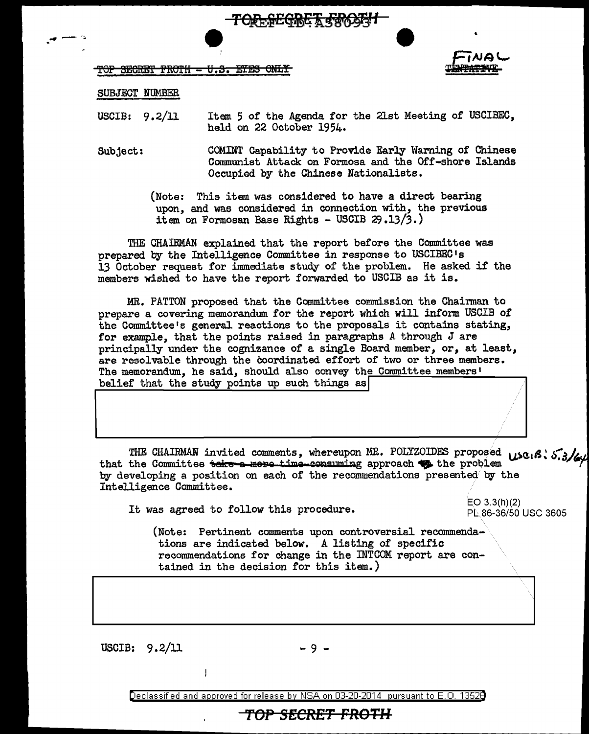$\begin{picture}(180,10) \put(0,0){\vector(0,0){180}} \put(10,0){\vector(0,0){180}} \put(10,0){\vector(0,0){180}} \put(10,0){\vector(0,0){180}} \put(10,0){\vector(0,0){180}} \put(10,0){\vector(0,0){180}} \put(10,0){\vector(0,0){180}} \put(10,0){\vector(0,0){180}} \put(10,0){\vector(0,0){180}} \put(10,0){\vector(0,0){180}} \put(10,0){\vector(0,0){180}}$ TOP SECRET FROTH - U.S. ETES ONLY



SUBJECT NUMBER

USCIB: 9.2/11 Item 5 of the Agenda for the 21st Meeting of USCIBEC, held on 22 October 1954.

Subject: COMINT Capability to Provide Early Warning of Chinese Communist Attack on Formosa and the Off-shore Islands Occupied by the Chinese Nationalists.

> (Note: This item was considered to have a direct bearing upon, and was considered in connection with, the previous item on Formosan Base Rights - USCIB 29.13/3.)

THE CHAIBMAN explained that the report before the Committee was prepared by the Intelligence Committee in response to USCIBEC <sup>1</sup>s 13 October request for immediate study of the problem. He asked if the members wished to have the report forwarded to USCIB as it is.

MR. PATTON proposed that the Committee commission the Chairman to prepare a covering memorandum for the report which will inform USCIB of the Committee's general reactions to the proposals it contains stating, for example, that the points raised in paragraphs A through J are principally under the cognizance of a single Board member, or, at least, are resolvable through the coordinated effort of two or three members. The memorandum, he said, should also convey the Committee members'<br>belief that the study points up such things as belief that the study points up such things as

THE CHAIRMAN invited comments, whereupon MR. POLYZOIDES proposed use. A: 5.3/64<br>that the Committee teke a more time consuming approach to the problem<br>by developing a position on each of the recommendations presented by the Intelligence Committee.

It was agreed to follow this procedure.  $E(O\ 3.3(h)(2))$ 

PL 86-36/50 USC 3605

(Note: Pertinent comments upon controversial recommendations are indicated below. A listing of specific recommendations for change in the INTCOM report are contained in the decision for this item.)

USCIB:  $9.2/11$  - 9 -

Declassified and approved for release by NSA on 03-20-2014 pursuant to E. 0. 1352B

### **TOP SECRET FROTH**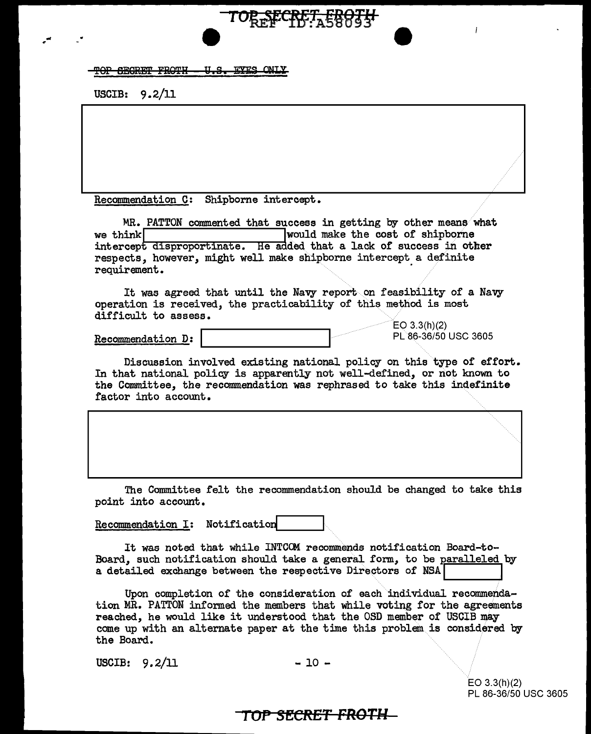#### TOP SEGRET FROTH - U.S. EYES ONLY

USCIB: 9.2/11

... r

Recommendation C: Shipborne intercept.

MR. PATTON commented that success in getting by other means what we think **I**would make the cost of shipborne intercept disproportinate. He added that a lack of success in other respects, however, might well make shipborne intercept a definite requirement.

TO<del>R SECRET, EBUTH</del>

It was agreed that until the Navy report.on feasibility of a Navy operation is received, the practicability of this method is most difficult to assess.

Recommendation D:

 $EO 3.3(h)(2)$ PL 86-36/50 USC 3605

L

Discussion involved existing national policy on this type of effort. In that national policy is apparently not well-defined, or not known to the Committee, the recommendation was rephrased to take this indefinite factor into account.

The Committee felt the recommendation should be changed to take this point into account.

Recommendation I: Notification

It was noted that while INTCCM recommends notification Board-to-Board, such notification should take a general form, to be paralleled by a detailed exchange between the respective Directors of NSA

Upon completion of the consideration of each individual recommendation MR. PATTON informed the members that while voting for the agreements reached, he would like it understood that the OSD member of USCIB may come up with an alternate paper at the time this problem is considered by the Board.

 $USCIB: 9.2/11$  - 10 -

EO 3.3(h)(2) PL 86-36/50 USC 3605

··················· ...

## **TOP SfCRET FROTH**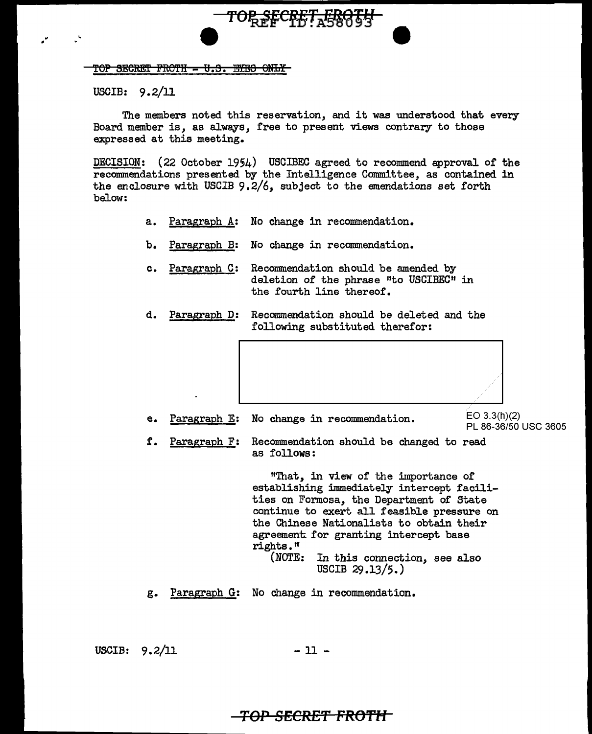#### TOP SECRET FROTH - U.S. EYES ONLY

USCIB: 9. 2/11

.. •

The members noted this reservation, and it was understood that every Board member is, as always, free to present views contrary to those expressed at this meeting.

TOR SECRET ERRIH

DECISION: (22 October 1954) USCIBEC agreed to recommend approval of the recommendations presented by the Intelligence Committee, as contained in the enclosure with USCIB 9.2/6, subject to the emendations set forth below:

- a. Paragraph A: No change in recommendation.
- b. Paragraph B: No change in recommendation.
- c. Paragraph C: Recommendation should be amended by deletion of the phrase "to USCIBEC" in the fourth line thereof.
- d. Paragraph D: Recommendation should be deleted and the following substituted therefor:



e. Paragraph E: No change in recommendation.  $E = \frac{E}{2}$  EO 3.3(h)(2)

PL 86-36/50 USC 3605

f. Paragraph F: Recommendation should be changed to read as follows:

> 11That, in view of the importance of establishing immediately intercept facilities on Formosa, the Department of State continue to exert all feasible pressure on the Chinese Nationalists to obtain their agreement. for granting intercept base rights." In this connection, see also USCIB 29.13/5.)

g. Paragraph G: No change in recommendation.

USCIB:  $9.2/11$  - 11 -

## *TOP* **SECRE'f FRO'f'H**